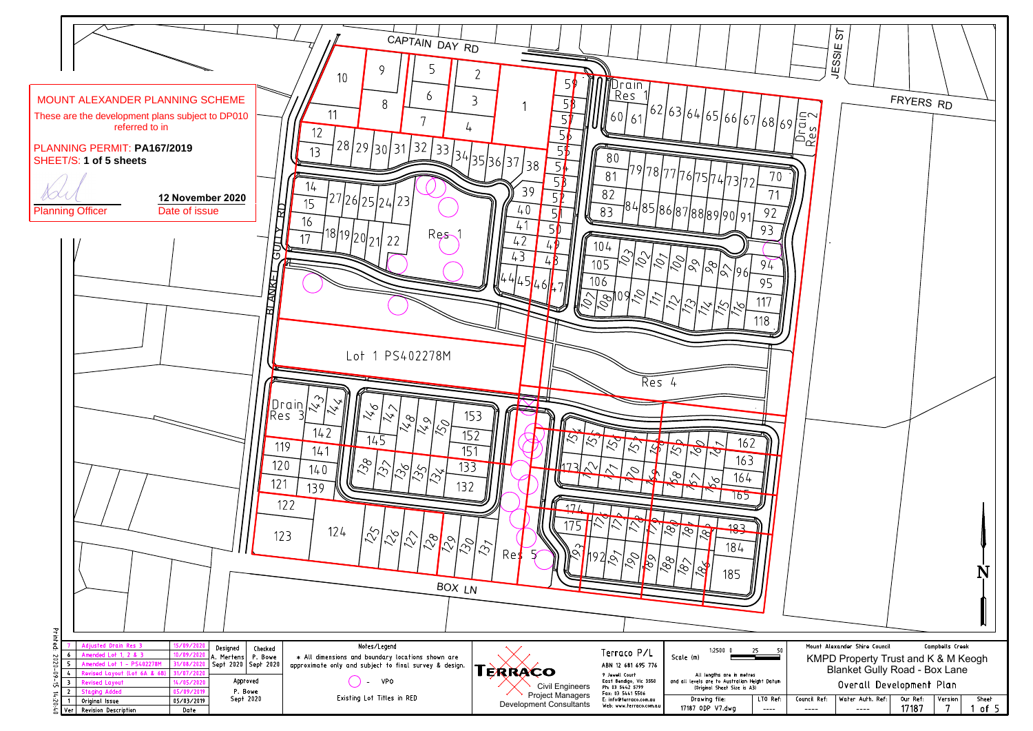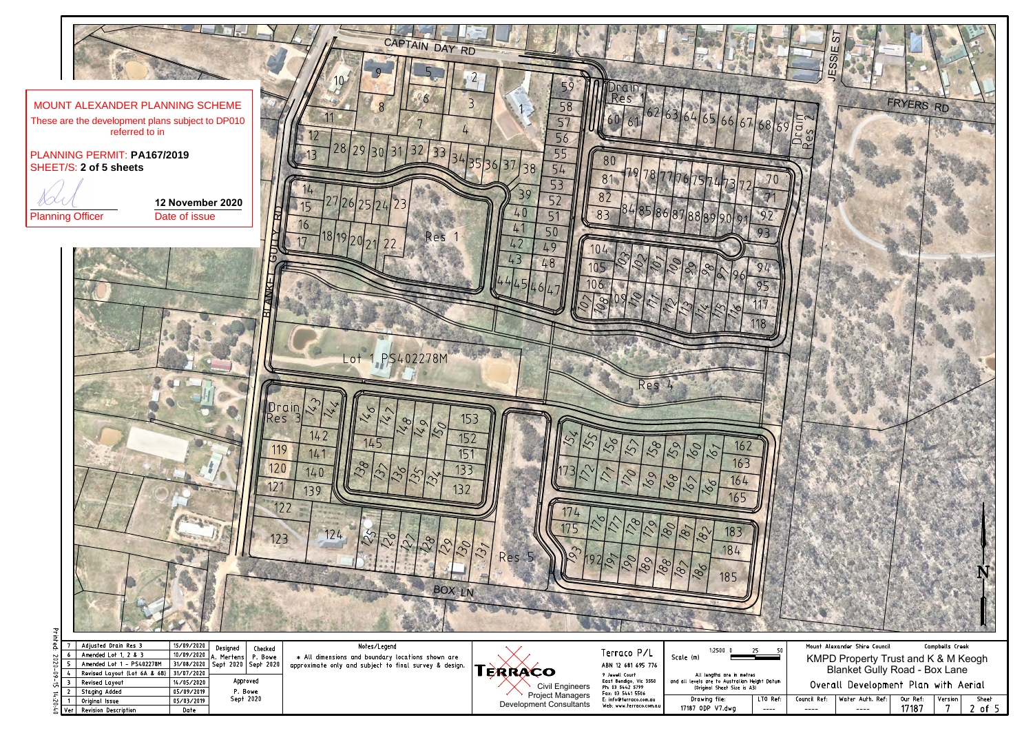

| Adjusted Drain Res 3                    | 15/09/2020 | Designed<br>Checked                | Notes/Legend                                                  |                                            |                                                                 | 1:25000                                                                      |         |                         | Mount Alexander Shire Council  |          |
|-----------------------------------------|------------|------------------------------------|---------------------------------------------------------------|--------------------------------------------|-----------------------------------------------------------------|------------------------------------------------------------------------------|---------|-------------------------|--------------------------------|----------|
| Amended Lot 1, 2 & 3                    |            | 10/09/2020 A. Mertens P. Bowe      | * All dimensions and boundary locations shown are             |                                            | Terraco P/L                                                     | Scale (m)                                                                    |         |                         | <b>KMPD Property Trust and</b> |          |
| Amended Lot 1 - PS402278M               |            | 31/08/2020   Sept 2020   Sept 2020 | approximate only and subject to final survey & design. $\Box$ |                                            | ABN 12 681 695 776                                              |                                                                              |         |                         |                                |          |
| Revised Layout (Lot 6A & 6B) 31/07/2020 |            |                                    |                                                               | <b>ERRACO</b>                              | 9 Jewell Court                                                  | All lengths are in metres                                                    |         |                         | <b>Blanket Gully Road -</b>    |          |
| <b>Revised Layout</b>                   | 14/05/2020 | Approved                           |                                                               | Civil Engineers<br><b>Project Managers</b> | East Bendigo, Vic 3550<br>Ph: 03 5442 5799<br>Fax: 03 5441 5506 | and all levels are to Australian Height Datum<br>(Original Sheet Size is A3) |         | Overall Development Pla |                                |          |
| Staging Added                           | 05/09/2019 | <sup>&gt;</sup> . Bowe             |                                                               |                                            |                                                                 |                                                                              |         |                         |                                |          |
| Original Issue                          | 05/03/2019 | Sept 2020                          |                                                               | Development Consultants                    | E: info@terraco.com.au                                          | Drawing file:                                                                | LTO Ref | Council Ref             | Water Auth. Ref:               | Our Ref: |
| Ver   Revision Description              | Date       |                                    |                                                               |                                            | Web: www.terraco.com.au                                         | 17187 ODP V7.dwg                                                             | $---$   | $- - - -$               | $---$                          | 17187    |
|                                         |            |                                    |                                                               |                                            |                                                                 |                                                                              |         |                         |                                |          |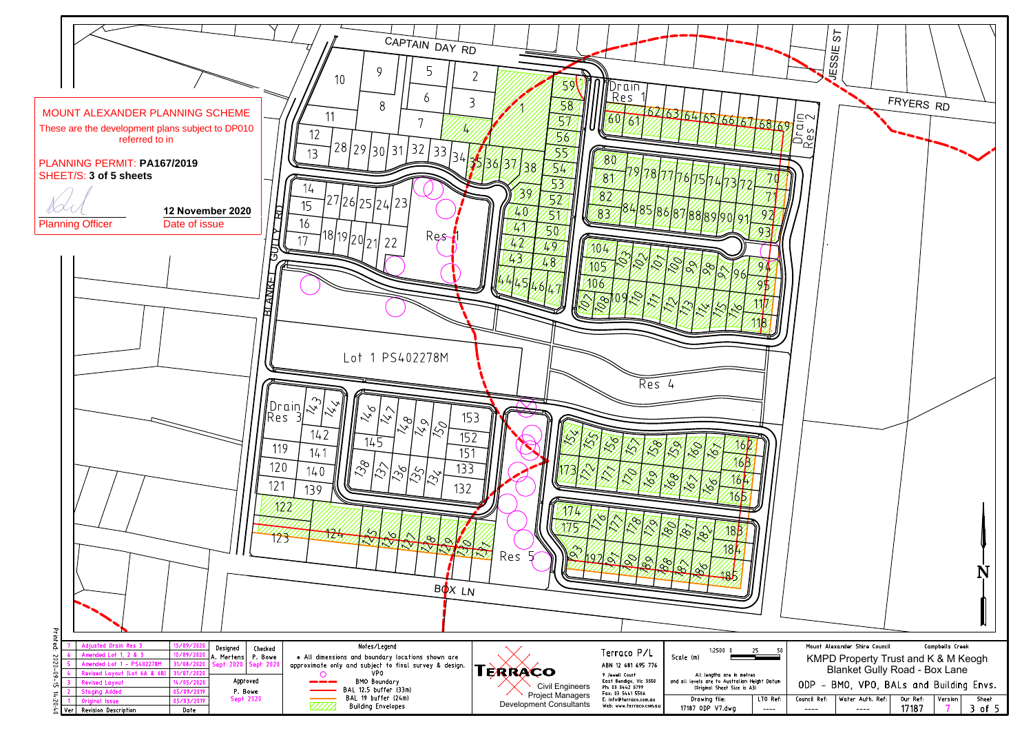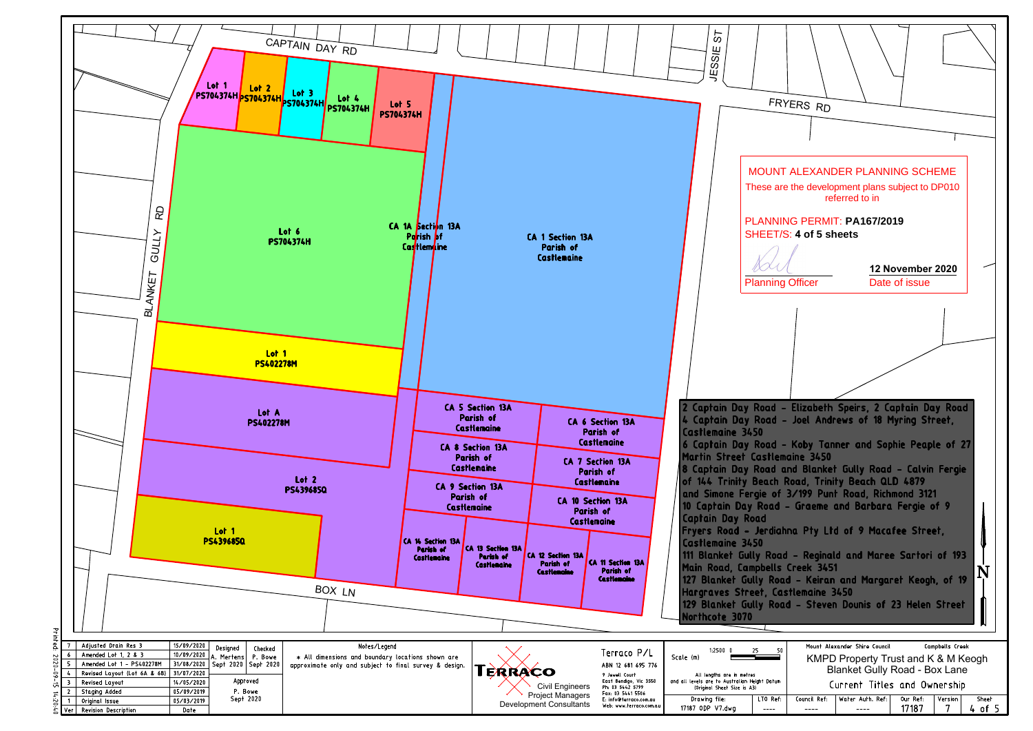